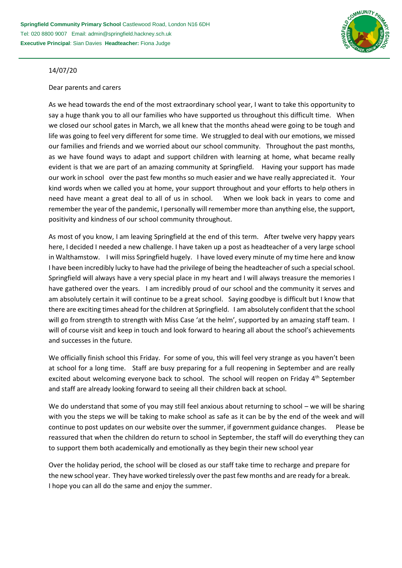

## 14/07/20

## Dear parents and carers

As we head towards the end of the most extraordinary school year, I want to take this opportunity to say a huge thank you to all our families who have supported us throughout this difficult time. When we closed our school gates in March, we all knew that the months ahead were going to be tough and life was going to feel very different for some time. We struggled to deal with our emotions, we missed our families and friends and we worried about our school community. Throughout the past months, as we have found ways to adapt and support children with learning at home, what became really evident is that we are part of an amazing community at Springfield. Having your support has made our work in school over the past few months so much easier and we have really appreciated it. Your kind words when we called you at home, your support throughout and your efforts to help others in need have meant a great deal to all of us in school. When we look back in years to come and remember the year of the pandemic, I personally will remember more than anything else, the support, positivity and kindness of our school community throughout.

As most of you know, I am leaving Springfield at the end of this term. After twelve very happy years here, I decided I needed a new challenge. I have taken up a post as headteacher of a very large school in Walthamstow. I will miss Springfield hugely. I have loved every minute of my time here and know I have been incredibly lucky to have had the privilege of being the headteacher of such a special school. Springfield will always have a very special place in my heart and I will always treasure the memories I have gathered over the years. I am incredibly proud of our school and the community it serves and am absolutely certain it will continue to be a great school. Saying goodbye is difficult but I know that there are exciting times ahead for the children at Springfield. I am absolutely confident that the school will go from strength to strength with Miss Case 'at the helm', supported by an amazing staff team. I will of course visit and keep in touch and look forward to hearing all about the school's achievements and successes in the future.

We officially finish school this Friday. For some of you, this will feel very strange as you haven't been at school for a long time. Staff are busy preparing for a full reopening in September and are really excited about welcoming everyone back to school. The school will reopen on Friday 4<sup>th</sup> September and staff are already looking forward to seeing all their children back at school.

We do understand that some of you may still feel anxious about returning to school – we will be sharing with you the steps we will be taking to make school as safe as it can be by the end of the week and will continue to post updates on our website over the summer, if government guidance changes. Please be reassured that when the children do return to school in September, the staff will do everything they can to support them both academically and emotionally as they begin their new school year

Over the holiday period, the school will be closed as our staff take time to recharge and prepare for the new school year. They have worked tirelessly over the past few months and are ready for a break. I hope you can all do the same and enjoy the summer.